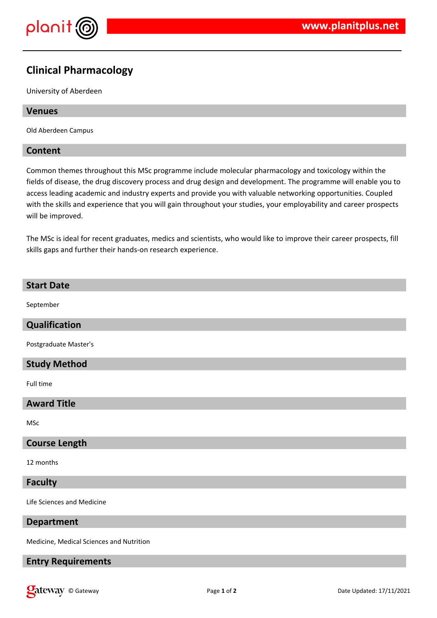

## **Clinical Pharmacology**

University of Aberdeen

#### **Venues**

Old Aberdeen Campus

#### **Content**

Common themes throughout this MSc programme include molecular pharmacology and toxicology within the fields of disease, the drug discovery process and drug design and development. The programme will enable you to access leading academic and industry experts and provide you with valuable networking opportunities. Coupled with the skills and experience that you will gain throughout your studies, your employability and career prospects will be improved.

The MSc is ideal for recent graduates, medics and scientists, who would like to improve their career prospects, fill skills gaps and further their hands-on research experience.

# **Start Date** September **Qualification** Postgraduate Master's **Study Method** Full time **Award Title** MSc **Course Length** 12 months **Faculty** Life Sciences and Medicine **Department**

Medicine, Medical Sciences and Nutrition

### **Entry Requirements**